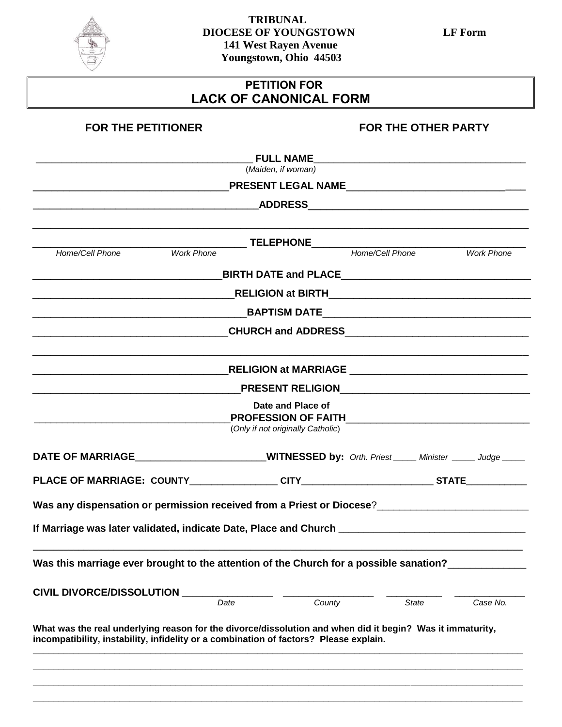

## **TRIBUNAL DIOCESE OF YOUNGSTOWN LF Form 141 West Rayen Avenue Youngstown, Ohio 44503**

## **PETITION FOR LACK OF CANONICAL FORM**

| <b>FOR THE PETITIONER</b>                                                                                                                                                                          |                                   | <b>FOR THE OTHER PARTY</b> |                   |
|----------------------------------------------------------------------------------------------------------------------------------------------------------------------------------------------------|-----------------------------------|----------------------------|-------------------|
|                                                                                                                                                                                                    |                                   |                            |                   |
|                                                                                                                                                                                                    | (Maiden, if woman)                |                            |                   |
|                                                                                                                                                                                                    |                                   |                            |                   |
|                                                                                                                                                                                                    |                                   |                            |                   |
|                                                                                                                                                                                                    |                                   |                            |                   |
| Work Phone<br>Home/Cell Phone                                                                                                                                                                      | TELEPHONE<br>Home/Cell Phone      |                            | <b>Work Phone</b> |
|                                                                                                                                                                                                    |                                   |                            |                   |
|                                                                                                                                                                                                    |                                   |                            |                   |
|                                                                                                                                                                                                    |                                   |                            |                   |
| _________________________________CHURCH and ADDRESS_____________________________                                                                                                                   |                                   |                            |                   |
|                                                                                                                                                                                                    |                                   |                            |                   |
|                                                                                                                                                                                                    |                                   |                            |                   |
|                                                                                                                                                                                                    | Date and Place of                 |                            |                   |
|                                                                                                                                                                                                    | (Only if not originally Catholic) |                            |                   |
| DATE OF MARRIAGE MARRIAGE MITNESSED by: Orth. Priest Minister Minister Mudge                                                                                                                       |                                   |                            |                   |
|                                                                                                                                                                                                    |                                   |                            |                   |
| If Marriage was later validated, indicate Date, Place and Church                                                                                                                                   |                                   |                            |                   |
| Was this marriage ever brought to the attention of the Church for a possible sanation?                                                                                                             |                                   |                            |                   |
| CIVIL DIVORCE/DISSOLUTION                                                                                                                                                                          | County<br>Date                    | <b>State</b>               | Case No.          |
|                                                                                                                                                                                                    |                                   |                            |                   |
| What was the real underlying reason for the divorce/dissolution and when did it begin? Was it immaturity,<br>incompatibility, instability, infidelity or a combination of factors? Please explain. |                                   |                            |                   |
|                                                                                                                                                                                                    |                                   |                            |                   |
|                                                                                                                                                                                                    |                                   |                            |                   |